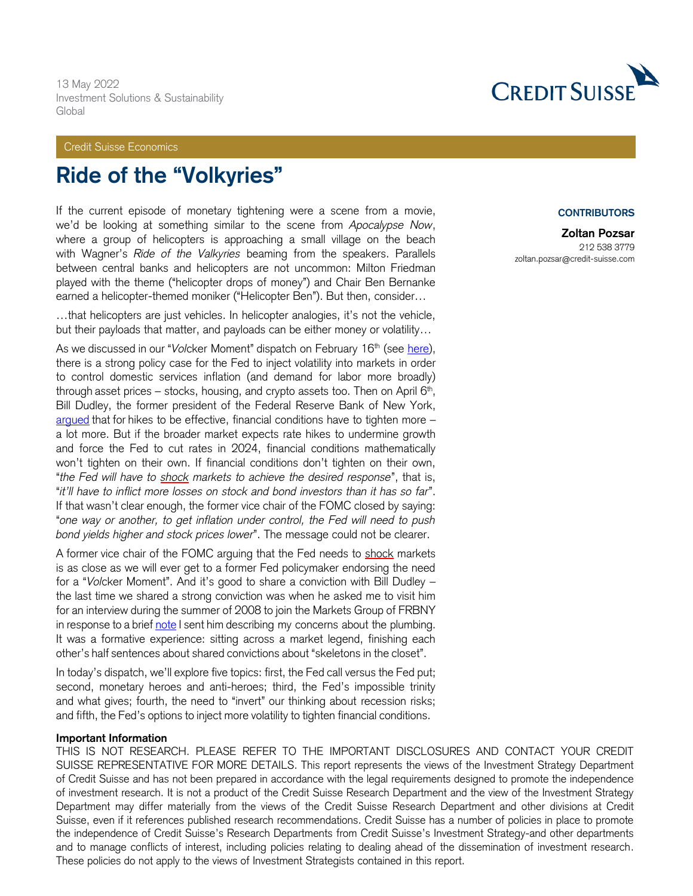13 May 2022 Investment Solutions & Sustainability Global

### Credit Suisse Economics

# **Ride of the "Volkyries"**

If the current episode of monetary tightening were a scene from a movie, we'd be looking at something similar to the scene from *Apocalypse Now*, where a group of helicopters is approaching a small village on the beach with Wagner's *Ride of the Valkyries* beaming from the speakers. Parallels between central banks and helicopters are not uncommon: Milton Friedman played with the theme ("helicopter drops of money") and Chair Ben Bernanke earned a helicopter-themed moniker ("Helicopter Ben"). But then, consider…

…that helicopters are just vehicles. In helicopter analogies, it's not the vehicle, but their payloads that matter, and payloads can be either money or volatility…

As we discussed in our "*Volcker Moment"* dispatch on February 16<sup>th</sup> (see [here\)](https://plus2.credit-suisse.com/content/credit-suisse-research/us/en/shorturlpdf.html?v=4YCY-Vvd1-V), there is a strong policy case for the Fed to inject volatility into markets in order to control domestic services inflation (and demand for labor more broadly) through asset prices – stocks, housing, and crypto assets too. Then on April  $6<sup>th</sup>$ , Bill Dudley, the former president of the Federal Reserve Bank of New York, [argued](https://www.bloomberg.com/opinion/articles/2022-04-06/if-stocks-don-t-fall-the-fed-needs-to-force-them) that for hikes to be effective, financial conditions have to tighten more – a lot more. But if the broader market expects rate hikes to undermine growth and force the Fed to cut rates in 2024, financial conditions mathematically won't tighten on their own. If financial conditions don't tighten on their own, "*the Fed will have to shock markets to achieve the desired response*", that is, "*it'll have to inflict more losses on stock and bond investors than it has so far*". If that wasn't clear enough, the former vice chair of the FOMC closed by saying: "*one way or another, to get inflation under control, the Fed will need to push bond yields higher and stock prices lower*". The message could not be clearer.

A former vice chair of the FOMC arguing that the Fed needs to shock markets is as close as we will ever get to a former Fed policymaker endorsing the need for a "*Vol*cker Moment". And it's good to share a conviction with Bill Dudley – the last time we shared a strong conviction was when he asked me to visit him for an interview during the summer of 2008 to join the Markets Group of FRBNY in response to a brief [note](https://www.economy.com/sbs) I sent him describing my concerns about the plumbing. It was a formative experience: sitting across a market legend, finishing each other's half sentences about shared convictions about "skeletons in the closet".

In today's dispatch, we'll explore five topics: first, the Fed call versus the Fed put; second, monetary heroes and anti-heroes; third, the Fed's impossible trinity and what gives; fourth, the need to "invert" our thinking about recession risks; and fifth, the Fed's options to inject more volatility to tighten financial conditions.

#### **Important Information**

THIS IS NOT RESEARCH. PLEASE REFER TO THE IMPORTANT DISCLOSURES AND CONTACT YOUR CREDIT SUISSE REPRESENTATIVE FOR MORE DETAILS. This report represents the views of the Investment Strategy Department of Credit Suisse and has not been prepared in accordance with the legal requirements designed to promote the independence of investment research. It is not a product of the Credit Suisse Research Department and the view of the Investment Strategy Department may differ materially from the views of the Credit Suisse Research Department and other divisions at Credit Suisse, even if it references published research recommendations. Credit Suisse has a number of policies in place to promote the independence of Credit Suisse's Research Departments from Credit Suisse's Investment Strategy-and other departments and to manage conflicts of interest, including policies relating to dealing ahead of the dissemination of investment research. These policies do not apply to the views of Investment Strategists contained in this report.



#### **CONTRIBUTORS**

**Zoltan Pozsar** 212 538 3779 zoltan.pozsar@credit-suisse.com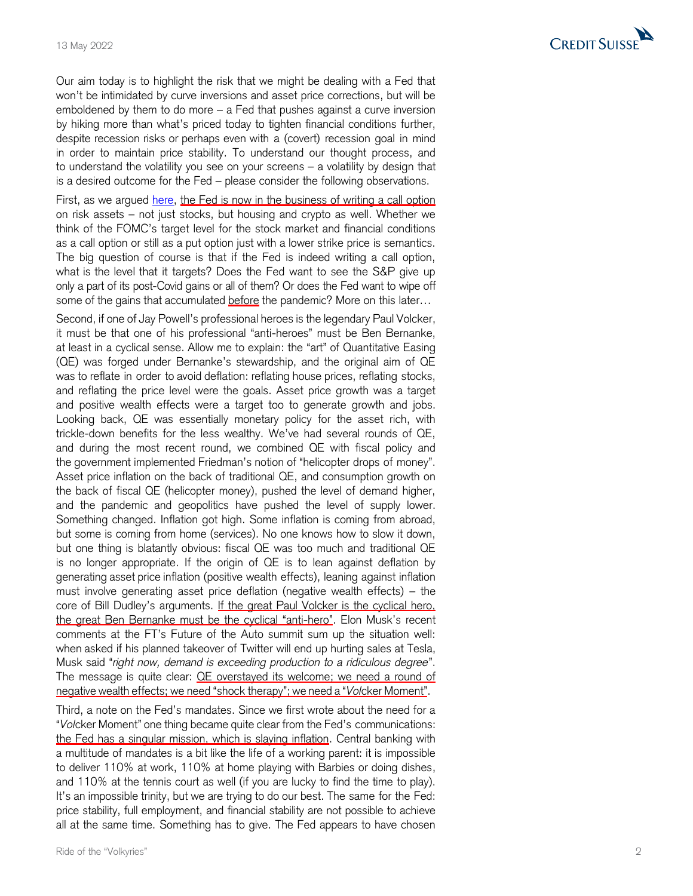Our aim today is to highlight the risk that we might be dealing with a Fed that won't be intimidated by curve inversions and asset price corrections, but will be emboldened by them to do more – a Fed that pushes against a curve inversion by hiking more than what's priced today to tighten financial conditions further, despite recession risks or perhaps even with a (covert) recession goal in mind in order to maintain price stability. To understand our thought process, and to understand the volatility you see on your screens – a volatility by design that is a desired outcome for the Fed – please consider the following observations.

First, as we argued [here,](https://plus2.credit-suisse.com/shorturlpdf.html?v=4YNY-SO8-V) the Fed is now in the business of writing a call option on risk assets – not just stocks, but housing and crypto as well. Whether we think of the FOMC's target level for the stock market and financial conditions as a call option or still as a put option just with a lower strike price is semantics. The big question of course is that if the Fed is indeed writing a call option, what is the level that it target s? Does the Fed want to see the S&P give up only a part of its post -Covid gains or all of them ? Or does the Fed want to wipe off some of the gains that accumulated before the pandemic? More on this later...

Second, if one of Jay Powell's professional heroes is the legendary Paul Volcker, it must be that one of his professional "anti -heroes" must be Ben Bernanke, at least in a cyclical sense. Allow me to explain: the "art " of Quantitative Easing (QE) was forged under Bernanke's stewardship, and the original aim of QE was to reflat e in order to avoid deflation: reflating house prices, reflating stocks, and reflating the price level were the goals. Asset price growth was a target and positive wealth effects were a target t oo to generate growth and jobs. Looking back, QE was essentially monetary policy for the asset rich, with trickle -down benefits for the less wealthy. We've had several rounds of QE, and during the most recent round, we combined QE with fiscal policy and the government implemented Friedman's notion of "helicopter drops of money". Asset price inflation on the back of traditional QE, and consumption growth on the back of fiscal QE (helicopter money), pushed the level of demand higher, and the pandemic and geopolitics have pushed the level of supply lower. Something changed. Inflation got high. Some inflation is coming from abroad, but some is coming from home (services). No one knows how to slow it down, but one thing is blatantly obvious: fiscal QE was too much and traditional QE is no longer appropriate. If the origin of QE is to lean against deflation by generating asset price inflation (positive wealth effects), leaning against inflation must involve generating asset price deflation (negative wealth effects) – the core of Bill Dudley's arguments. If the great Paul Volcker is the cyclical hero, the great Ben Bernanke must be the cyclical "anti-hero". Elon Musk's recent comments at the FT's Future of the Auto summit sum up the situation well: when asked if his planned takeover of Twitter will end up hurting sales at Tesla, Musk said "*right now, demand is exceeding production to a ridiculous degree*". The message is quite clear: **QE** overstayed its welcome; we need a round of negative wealth effects; we need "shock therapy"; we need a "*Vol*cker Moment".

Third, a note on the Fed's mandates. Since we first wrote about the need for a "*Vol*cker Moment" one thing became quite clear from the Fed's communications: the Fed has a singular mission, which is slaving inflation. Central banking with a multitude of mandates is a bit like the life of a working parent: it is impossible to deliver 110% at work, 110% at home playing with Barbies or doing dishes, and 110% at the tennis court as well (if you are lucky to find the time to play). It's an impossible trinity, but we are trying to do our best. The same for the Fed: price stability, full employment, and financial stability are not possible to achieve all at the same time. Something has to give. The Fed appears to have chosen

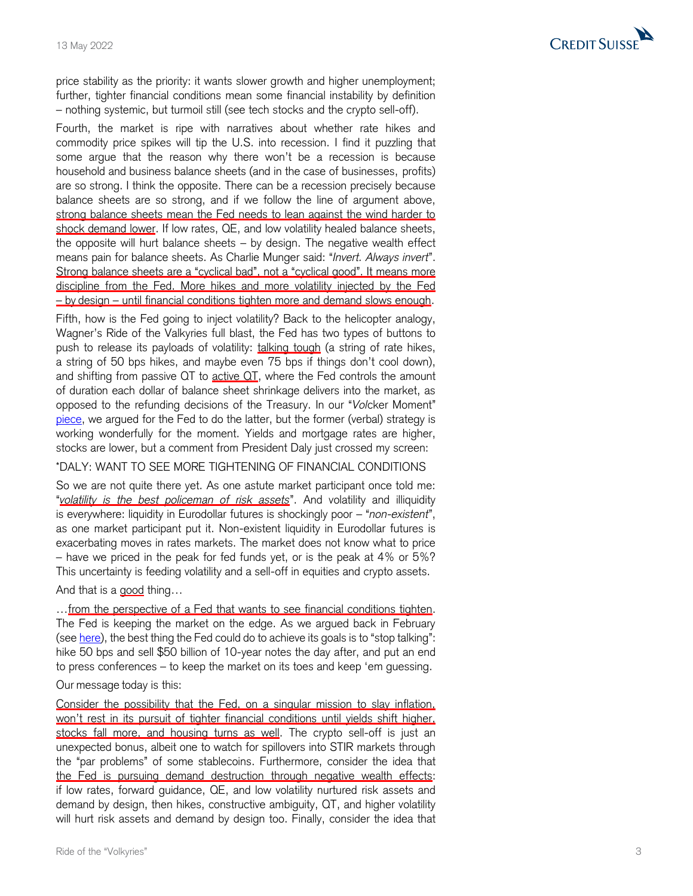

price stability as the priority: it want s slower growth and higher unemployment; further, tighter financial conditions mean some financial instability by definition – nothing systemic, but turmoil still (see tech stocks and the crypto sell-off).

Fourth, the market is ripe with narratives about whether rate hikes and commodity price spikes will tip the U.S. into recession. I find it puzzling that some argue that the reason why there won't be a recession is because household and business balance sheets (and in the case of businesses, profits) are so strong. I think the opposite. There can be a recession precisely because balance sheets are so strong, and if we follow the line of argument above, strong balance sheets mean the Fed needs to lean against the wind harder to shock demand lower. If low rates, QE, and low volatility healed balance sheets, the opposite will hurt balance sheets – by design. The negative wealth effect means pain for balance sheets. As Charlie Munger said: "*Invert. Always invert* ". Strong balance sheets are a "cyclical bad", not a "cyclical good". It means more discipline from the Fed. More hikes and more volatility injected by the Fed – by design – until financial conditions tighten more and demand slows enough.

Fifth, how is the Fed going to inject volatility? Back to the helicopter analogy, Wagner's Ride of the Valkyries full blast, the Fed has two types of buttons to push to release its payloads of volatility: talking tough (a string of rate hikes, a string of 50 bps hikes, and maybe even 75 bps if things don't cool down), and shifting from passive QT to active QT, where the Fed controls the amount of duration each dollar of balance sheet shrinkage delivers into the market, as opposed to the refunding decisions of the Treasury. In our "*Vol*cker Moment" [piece,](https://plus2.credit-suisse.com/shorturlpdf.html?v=4YCY-Vvd1-V) we argued for the Fed to do the latter, but the former (verbal) strategy is working wonderfully for the moment. Yields and mortgage rates are higher, stocks are lower, but a comment from President Daly just crossed my screen:

\*DALY: WANT TO SEE MORE TIGHTENING OF FINANCIAL CONDITIONS

So we are not quite there yet. As one astute market participant once told me: "*volatility is the best policeman of risk assets*". And volatility and illiquidity is everywhere: liquidity in Eurodollar futures is shockingly poor – "*non -existent* ", as one market participant put it. Non -existent liquidity in Eurodollar futures is exacerbating moves in rates markets. The market does not know what to price – have we priced in the peak for fed funds yet, or is the peak at 4% or 5%? This uncertainty is feeding volatility and a sell -off in equities and crypto assets.

And that is a good thing...

...from the perspective of a Fed that wants to see financial conditions tighten. The Fed is keeping the market on the edge. As we argued back in February (see <u>[here](https://plus2.credit-suisse.com/shorturlpdf.html?v=4YCY-Vvd1-V)</u>), the best thing the Fed could do to achieve its goals is to "stop talking": hike 50 bps and sell \$50 billion of 10 -year notes the day after, and put an end to press conferences – to keep the market on its toes and keep 'em guessing.

## Our message today is this:

Consider the possibility that the Fed, on a singular mission to slay inflation, won't rest in its pursuit of tighter financial conditions until yields shift higher, stocks fall more, and housing turns as well. The crypto sell-off is just an unexpected bonus, albeit one to watch for spillovers into STIR markets through the "par problems" of some stablecoins. Furthermore, consider the idea that the Fed is pursuing demand destruction through negative wealth effects: if low rates, forward guidance, QE, and low volatility nurtured risk assets and demand by design, then hikes, constructive ambiguity, QT, and higher volatility will hurt risk assets and demand by design too. Finally, consider the idea that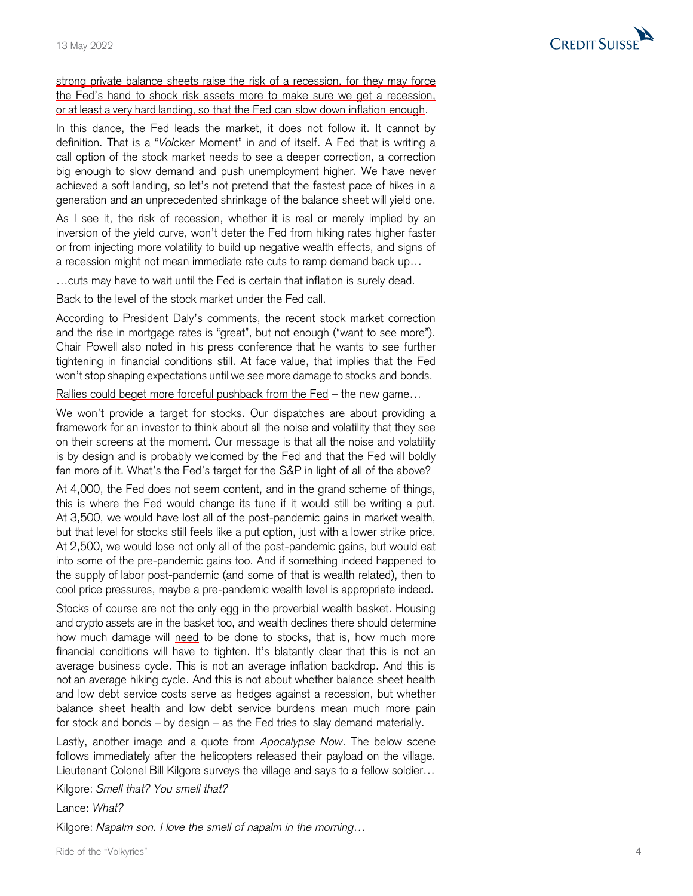

strong private balance sheets raise the risk of a recession, for they may force the Fed's hand to shock risk assets more to make sure we get a recession, or at least a very hard landing, so that the Fed can slow down inflation enough.

In this dance, the Fed leads the market, it does not follow it. It cannot by definition. That is a "*Vol*cker Moment" in and of itself. A Fed that is writing a call option of the stock market needs to see a deeper correction, a correction big enough to slow demand and push unemployment higher. We have never achieved a soft landing, so let's not pretend that the fastest pace of hikes in a generation and an unprecedented shrinkage of the balance sheet will yield one.

As I see it, the risk of recession, whether it is real or merely implied by an inversion of the yield curve, won't deter the Fed from hiking rates higher faster or from injecting more volatility to build up negative wealth effects, and signs of a recession might not mean immediate rate cuts to ramp demand back up …

…cuts may have to wait until the Fed is certain that inflation is surely dead.

Back to the level of the stock market under the Fed call.

According to President Daly's comments, the recent stock market correction and the rise in mortgage rates is "great", but not enough ("want to see more"). Chair Powell also noted in his press conference that he wants to see further tightening in financial conditions still. At face value, that implies that the Fed won't stop shaping expectations until we see more damage to stocks and bonds.

Rallies could beget more forceful pushback from the Fed – the new game...

We won't provide a target for stocks. Our dispatches are about providing a framework for an investor to think about all the noise and volatility that they see on their screens at the moment. Our message is that all the noise and volatility is by design and is probably welcomed by the Fed and that the Fed will boldly fan more of it. What's the Fed's target for the S&P in light of all of the above?

At 4,000, the Fed does not seem content, and in the grand scheme of things, this is where the Fed would change its tune if it would still be writing a put. At 3,500, we would have lost all of the post -pandemic gain s in market wealth, but that level for stocks still feels like a put option, just with a lower strike price. At 2,500, we would lose not only all of the post -pandemic gain s, but would eat into some of the pre -pandemic gains too. And if something indeed happened to the supply of labor post -pandemic (and some of that is wealth related), then to cool price pressures, maybe a pre -pandemic wealth level is appropriate indeed.

Stocks of course are not the only egg in the proverbial wealth basket. Housing and crypto assets are in the basket too, and wealth declines there should determine how much damage will need to be done to stocks, that is, how much more financial conditions will have to tighten. It's blatantly clear that this is not an average business cycle. This is not an average inflation backdrop. And this is not an average hiking cycle. And this is not about whether balance sheet health and low debt service costs serve as hedge s against a recession, but whether balance sheet health and low debt service burdens mean much more pain for stock and bonds – by design – as the Fed tries to slay demand materially.

Lastly, another image and a quote from *Apocalypse Now*. The below scene follows immediately after the helicopters released their payload on the village. Lieutenant Colonel Bill Kilgore surveys the village and says to a fellow soldier…

Kilgore: *Smell that? You smell that?*

Lance: *What?*

Kilgore: *Napalm son. I love the smell of napalm in the morning …*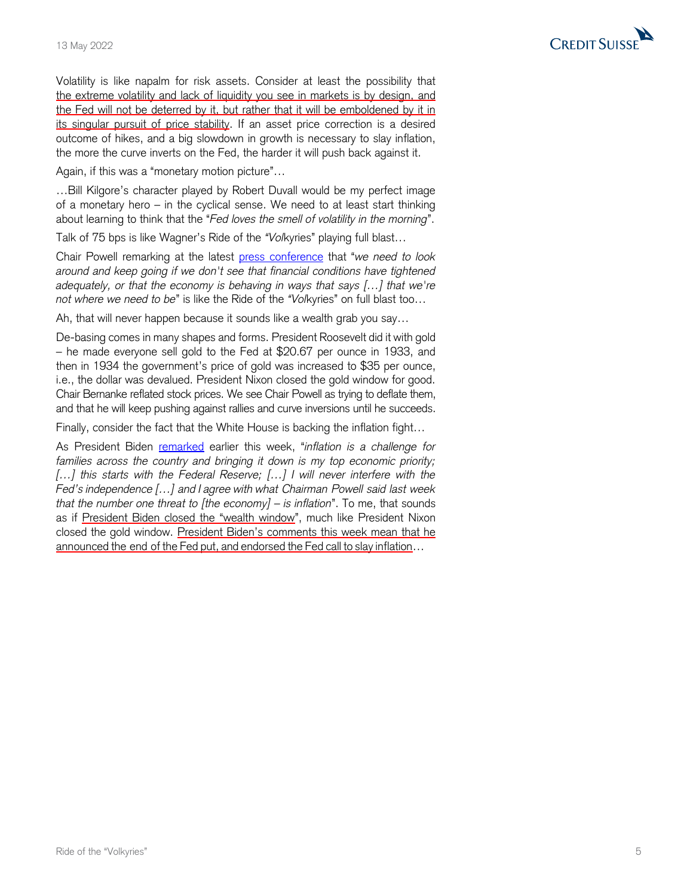

Volatility is like napalm for risk assets. Consider at least the possibility that the extreme volatility and lack of liquidity you see in markets is by design, and the Fed will not be deterred by it, but rather that it will be emboldened by it in its singular pursuit of price stability. If an asset price correction is a desired outcome of hikes, and a big slowdown in growth is necessary to slay inflation, the more the curve inverts on the Fed, the harder it will push back against it.

Again, if this was a "monetary motion picture"…

…Bill Kilgore's character played by Robert Duvall would be my perfect image of a monetary hero – in the cyclical sense. We need to at least start thinking about learning to think that the "*Fed loves the smell of volatility in the morning*".

Talk of 75 bps is like Wagner's Ride of the *"Vol*kyries" playing full blast…

Chair Powell remarking at the latest [press conference](https://www.federalreserve.gov/mediacenter/files/FOMCpresconf20220504.pdf) that "*we need to look around and keep going if we don't see that financial conditions have tightened adequately, or that the economy is behaving in ways that says […] that we're not where we need to be*" is like the Ride of the *"Vol*kyries" on full blast too…

Ah, that will never happen because it sounds like a wealth grab you say…

De-basing comes in many shapes and forms. President Roosevelt did it with gold – he made everyone sell gold to the Fed at \$20.67 per ounce in 1933, and then in 1934 the government's price of gold was increased to \$35 per ounce, i.e., the dollar was devalued. President Nixon closed the gold window for good. Chair Bernanke reflated stock prices. We see Chair Powell as trying to deflate them, and that he will keep pushing against rallies and curve inversions until he succeeds.

Finally, consider the fact that the White House is backing the inflation fight…

As President Biden [remarked](https://www.whitehouse.gov/briefing-room/statements-releases/2022/05/11/statement-by-president-biden-on-consumer-price-index-in-april/) earlier this week, "*inflation is a challenge for* families across the country and bringing it down is my top economic priority; *[…] this starts with the Federal Reserve; […] I will never interfere with the Fed's independence […] and I agree with what Chairman Powell said last week that the number one threat to [the economy] – is inflation*". To me, that sounds as if President Biden closed the "wealth window", much like President Nixon closed the gold window. President Biden's comments this week mean that he announced the end of the Fed put, and endorsed the Fed call to slay inflation…